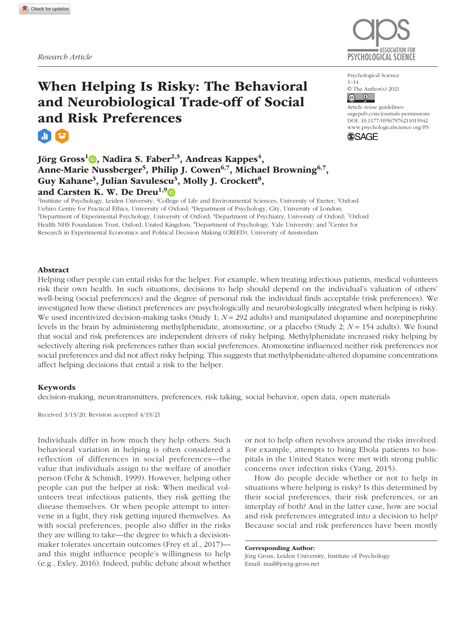

# When Helping Is Risky: The Behavioral and Neurobiological Trade-off of Social and Risk Preferences

Psychological Science 1–14  $\circ$  The Author(s) 2021

Article reuse guidelines: [sagepub.com/journals-permissions](https://us.sagepub.com/en-us/journals-permissions) DOI: 10.1177/09567976211015942 [www.psychologicalscience.org/PS](http://www.psychologicalscience.org/ps)



# Jörg Gross<sup>1</sup> , Nadira S. Faber<sup>2,3</sup>, Andreas Kappes<sup>4</sup>, Anne-Marie Nussberger<sup>5</sup>, Philip J. Cowen<sup>6,7</sup>, Michael Browning<sup>6,7</sup>, Guy Kahane<sup>3</sup>, Julian Savulescu<sup>3</sup>, Molly J. Crockett<sup>8</sup>, and Carsten K. W. De Dreu<sup>1,9</sup>

<sup>1</sup>Institute of Psychology, Leiden University; <sup>2</sup>College of Life and Environmental Sciences, University of Exeter; <sup>3</sup>Oxford Uehiro Centre for Practical Ethics, University of Oxford; <sup>4</sup>Department of Psychology, City, University of London;<br><sup>5</sup>Department of Experimental Psychology, University of Oxford<sup>, 6</sup>Department of Psychiatry, University of Department of Experimental Psychology, University of Oxford; 6 Department of Psychiatry, University of Oxford; 7 Oxford Health NHS Foundation Trust, Oxford, United Kingdom; <sup>8</sup>Department of Psychology, Yale University; and <sup>9</sup>Center for Research in Experimental Economics and Political Decision Making (CREED), University of Amsterdam

#### Abstract

Helping other people can entail risks for the helper. For example, when treating infectious patients, medical volunteers risk their own health. In such situations, decisions to help should depend on the individual's valuation of others' well-being (social preferences) and the degree of personal risk the individual finds acceptable (risk preferences). We investigated how these distinct preferences are psychologically and neurobiologically integrated when helping is risky. We used incentivized decision-making tasks (Study 1;  $N = 292$  adults) and manipulated dopamine and norepinephrine levels in the brain by administering methylphenidate, atomoxetine, or a placebo (Study 2; *N* = 154 adults). We found that social and risk preferences are independent drivers of risky helping. Methylphenidate increased risky helping by selectively altering risk preferences rather than social preferences. Atomoxetine influenced neither risk preferences nor social preferences and did not affect risky helping. This suggests that methylphenidate-altered dopamine concentrations affect helping decisions that entail a risk to the helper.

#### Keywords

decision-making, neurotransmitters, preferences, risk taking, social behavior, open data, open materials

Received 3/13/20; Revision accepted 4/19/21

Individuals differ in how much they help others. Such behavioral variation in helping is often considered a reflection of differences in social preferences—the value that individuals assign to the welfare of another person (Fehr & Schmidt, 1999). However, helping other people can put the helper at risk: When medical volunteers treat infectious patients, they risk getting the disease themselves. Or when people attempt to intervene in a fight, they risk getting injured themselves. As with social preferences, people also differ in the risks they are willing to take—the degree to which a decisionmaker tolerates uncertain outcomes (Frey et al., 2017) and this might influence people's willingness to help (e.g., Exley, 2016). Indeed, public debate about whether

or not to help often revolves around the risks involved. For example, attempts to bring Ebola patients to hospitals in the United States were met with strong public concerns over infection risks (Yang, 2015).

How do people decide whether or not to help in situations where helping is risky? Is this determined by their social preferences, their risk preferences, or an interplay of both? And in the latter case, how are social and risk preferences integrated into a decision to help? Because social and risk preferences have been mostly

Corresponding Author:

Jörg Gross, Leiden University, Institute of Psychology Email: [mail@joerg-gross.net](mailto:mail@joerg-gross.net)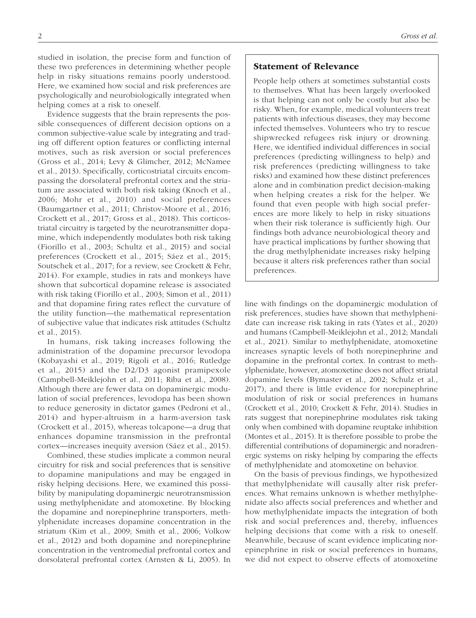studied in isolation, the precise form and function of these two preferences in determining whether people help in risky situations remains poorly understood. Here, we examined how social and risk preferences are psychologically and neurobiologically integrated when helping comes at a risk to oneself.

Evidence suggests that the brain represents the possible consequences of different decision options on a common subjective-value scale by integrating and trading off different option features or conflicting internal motives, such as risk aversion or social preferences (Gross et al., 2014; Levy & Glimcher, 2012; McNamee et al., 2013). Specifically, corticostriatal circuits encompassing the dorsolateral prefrontal cortex and the striatum are associated with both risk taking (Knoch et al., 2006; Mohr et al., 2010) and social preferences (Baumgartner et al., 2011; Christov-Moore et al., 2016; Crockett et al., 2017; Gross et al., 2018). This corticostriatal circuitry is targeted by the neurotransmitter dopamine, which independently modulates both risk taking (Fiorillo et al., 2003; Schultz et al., 2015) and social preferences (Crockett et al., 2015; Sáez et al., 2015; Soutschek et al., 2017; for a review, see Crockett & Fehr, 2014). For example, studies in rats and monkeys have shown that subcortical dopamine release is associated with risk taking (Fiorillo et al., 2003; Simon et al., 2011) and that dopamine firing rates reflect the curvature of the utility function—the mathematical representation of subjective value that indicates risk attitudes (Schultz et al., 2015).

In humans, risk taking increases following the administration of the dopamine precursor levodopa (Kobayashi et al., 2019; Rigoli et al., 2016; Rutledge et al., 2015) and the D2/D3 agonist pramipexole (Campbell-Meiklejohn et al., 2011; Riba et al., 2008). Although there are fewer data on dopaminergic modulation of social preferences, levodopa has been shown to reduce generosity in dictator games (Pedroni et al., 2014) and hyper-altruism in a harm-aversion task (Crockett et al., 2015), whereas tolcapone—a drug that enhances dopamine transmission in the prefrontal cortex—increases inequity aversion (Sáez et al., 2015).

Combined, these studies implicate a common neural circuitry for risk and social preferences that is sensitive to dopamine manipulations and may be engaged in risky helping decisions. Here, we examined this possibility by manipulating dopaminergic neurotransmission using methylphenidate and atomoxetine. By blocking the dopamine and norepinephrine transporters, methylphenidate increases dopamine concentration in the striatum (Kim et al., 2009; Smith et al., 2006; Volkow et al., 2012) and both dopamine and norepinephrine concentration in the ventromedial prefrontal cortex and dorsolateral prefrontal cortex (Arnsten & Li, 2005). In

## Statement of Relevance

People help others at sometimes substantial costs to themselves. What has been largely overlooked is that helping can not only be costly but also be risky. When, for example, medical volunteers treat patients with infectious diseases, they may become infected themselves. Volunteers who try to rescue shipwrecked refugees risk injury or drowning. Here, we identified individual differences in social preferences (predicting willingness to help) and risk preferences (predicting willingness to take risks) and examined how these distinct preferences alone and in combination predict decision-making when helping creates a risk for the helper. We found that even people with high social preferences are more likely to help in risky situations when their risk tolerance is sufficiently high. Our findings both advance neurobiological theory and have practical implications by further showing that the drug methylphenidate increases risky helping because it alters risk preferences rather than social preferences.

line with findings on the dopaminergic modulation of risk preferences, studies have shown that methylphenidate can increase risk taking in rats (Yates et al., 2020) and humans (Campbell-Meiklejohn et al., 2012; Mandali et al., 2021). Similar to methylphenidate, atomoxetine increases synaptic levels of both norepinephrine and dopamine in the prefrontal cortex. In contrast to methylphenidate, however, atomoxetine does not affect striatal dopamine levels (Bymaster et al., 2002; Schulz et al., 2017), and there is little evidence for norepinephrine modulation of risk or social preferences in humans (Crockett et al., 2010; Crockett & Fehr, 2014). Studies in rats suggest that norepinephrine modulates risk taking only when combined with dopamine reuptake inhibition (Montes et al., 2015). It is therefore possible to probe the differential contributions of dopaminergic and noradrenergic systems on risky helping by comparing the effects of methylphenidate and atomoxetine on behavior.

On the basis of previous findings, we hypothesized that methylphenidate will causally alter risk preferences. What remains unknown is whether methylphenidate also affects social preferences and whether and how methylphenidate impacts the integration of both risk and social preferences and, thereby, influences helping decisions that come with a risk to oneself. Meanwhile, because of scant evidence implicating norepinephrine in risk or social preferences in humans, we did not expect to observe effects of atomoxetine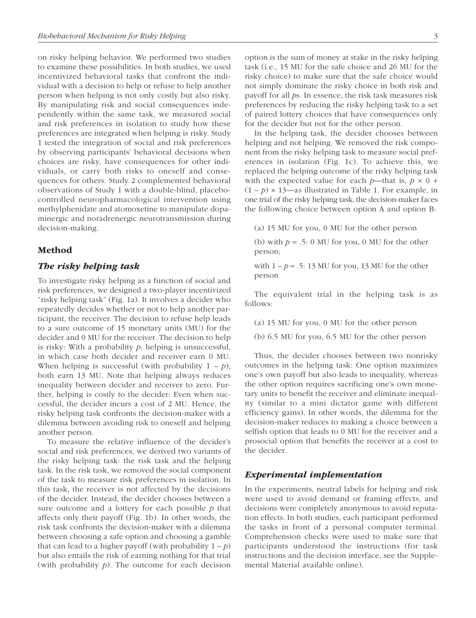on risky helping behavior. We performed two studies to examine these possibilities. In both studies, we used incentivized behavioral tasks that confront the individual with a decision to help or refuse to help another person when helping is not only costly but also risky. By manipulating risk and social consequences independently within the same task, we measured social and risk preferences in isolation to study how these preferences are integrated when helping is risky. Study 1 tested the integration of social and risk preferences by observing participants' behavioral decisions when choices are risky, have consequences for other individuals, or carry both risks to oneself and consequences for others. Study 2 complemented behavioral observations of Study 1 with a double-blind, placebocontrolled neuropharmacological intervention using methylphenidate and atomoxetine to manipulate dopaminergic and noradrenergic neurotransmission during decision-making.

### Method

### *The risky helping task*

To investigate risky helping as a function of social and risk preferences, we designed a two-player incentivized "risky helping task" (Fig. 1a). It involves a decider who repeatedly decides whether or not to help another participant, the receiver. The decision to refuse help leads to a sure outcome of 15 monetary units (MU) for the decider and 0 MU for the receiver. The decision to help is risky: With a probability *p*, helping is unsuccessful, in which case both decider and receiver earn 0 MU. When helping is successful (with probability  $1 - p$ ), both earn 13 MU. Note that helping always reduces inequality between decider and receiver to zero. Further, helping is costly to the decider: Even when successful, the decider incurs a cost of 2 MU. Hence, the risky helping task confronts the decision-maker with a dilemma between avoiding risk to oneself and helping another person.

To measure the relative influence of the decider's social and risk preferences, we derived two variants of the risky helping task: the risk task and the helping task. In the risk task, we removed the social component of the task to measure risk preferences in isolation. In this task, the receiver is not affected by the decisions of the decider. Instead, the decider chooses between a sure outcome and a lottery for each possible *p* that affects only their payoff (Fig. 1b). In other words, the risk task confronts the decision-maker with a dilemma between choosing a safe option and choosing a gamble that can lead to a higher payoff (with probability  $1 - p$ ) but also entails the risk of earning nothing for that trial (with probability *p*). The outcome for each decision option is the sum of money at stake in the risky helping task (i.e., 15 MU for the safe choice and 26 MU for the risky choice) to make sure that the safe choice would not simply dominate the risky choice in both risk and payoff for all *p*s. In essence, the risk task measures risk preferences by reducing the risky helping task to a set of paired lottery choices that have consequences only for the decider but not for the other person.

In the helping task, the decider chooses between helping and not helping. We removed the risk component from the risky helping task to measure social preferences in isolation (Fig. 1c). To achieve this, we replaced the helping outcome of the risky helping task with the expected value for each  $p$ —that is,  $p \times 0$  +  $(1 - p) \times 13$ —as illustrated in Table 1. For example, in one trial of the risky helping task, the decision-maker faces the following choice between option A and option B:

(a) 15 MU for you, 0 MU for the other person

(b) with  $p = .5$ : 0 MU for you, 0 MU for the other person;

with  $1 - p = .5$ : 13 MU for you, 13 MU for the other person

The equivalent trial in the helping task is as follows:

(a) 15 MU for you, 0 MU for the other person

(b) 6.5 MU for you, 6.5 MU for the other person

Thus, the decider chooses between two nonrisky outcomes in the helping task: One option maximizes one's own payoff but also leads to inequality, whereas the other option requires sacrificing one's own monetary units to benefit the receiver and eliminate inequality (similar to a mini dictator game with different efficiency gains). In other words, the dilemma for the decision-maker reduces to making a choice between a selfish option that leads to 0 MU for the receiver and a prosocial option that benefits the receiver at a cost to the decider.

## *Experimental implementation*

In the experiments, neutral labels for helping and risk were used to avoid demand or framing effects, and decisions were completely anonymous to avoid reputation effects. In both studies, each participant performed the tasks in front of a personal computer terminal. Comprehension checks were used to make sure that participants understood the instructions (for task instructions and the decision interface, see the Supplemental Material available online).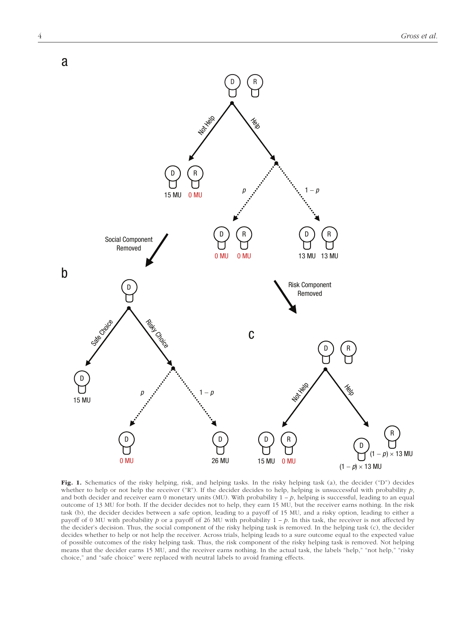

Fig. 1. Schematics of the risky helping, risk, and helping tasks. In the risky helping task (a), the decider ("D") decides whether to help or not help the receiver ("R"). If the decider decides to help, helping is unsuccessful with probability  $p$ , and both decider and receiver earn 0 monetary units (MU). With probability  $1 - p$ , helping is successful, leading to an equal outcome of 13 MU for both. If the decider decides not to help, they earn 15 MU, but the receiver earns nothing. In the risk task (b), the decider decides between a safe option, leading to a payoff of 15 MU, and a risky option, leading to either a payoff of 0 MU with probability *p* or a payoff of 26 MU with probability 1 – *p*. In this task, the receiver is not affected by the decider's decision. Thus, the social component of the risky helping task is removed. In the helping task (c), the decider decides whether to help or not help the receiver. Across trials, helping leads to a sure outcome equal to the expected value of possible outcomes of the risky helping task. Thus, the risk component of the risky helping task is removed. Not helping means that the decider earns 15 MU, and the receiver earns nothing. In the actual task, the labels "help," "not help," "risky choice," and "safe choice" were replaced with neutral labels to avoid framing effects.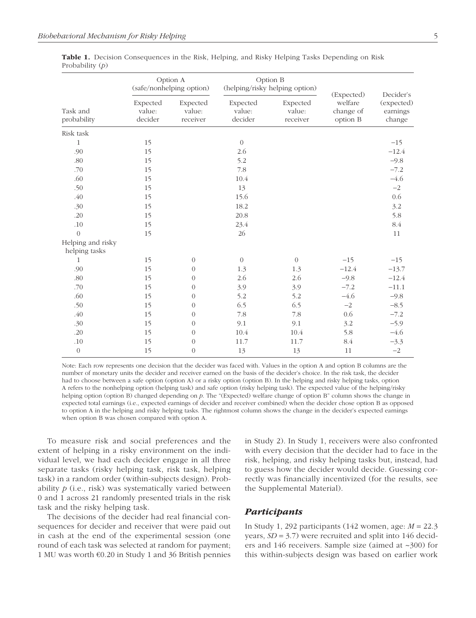|                                    | Option A<br>(safe/nonhelping option) |                                |                               | Option B<br>(helping/risky helping option) |                                                | Decider's                        |
|------------------------------------|--------------------------------------|--------------------------------|-------------------------------|--------------------------------------------|------------------------------------------------|----------------------------------|
| Task and<br>probability            | Expected<br>value:<br>decider        | Expected<br>value:<br>receiver | Expected<br>value:<br>decider | Expected<br>value:<br>receiver             | (Expected)<br>welfare<br>change of<br>option B | (expected)<br>earnings<br>change |
| Risk task                          |                                      |                                |                               |                                            |                                                |                                  |
| $\mathbf{1}$                       | 15                                   |                                | $\boldsymbol{0}$              |                                            |                                                | $-15$                            |
| .90                                | 15                                   |                                | 2.6                           |                                            |                                                | $-12.4$                          |
| .80                                | 15                                   |                                | 5.2                           |                                            |                                                | $-9.8$                           |
| .70                                | 15                                   |                                | 7.8                           |                                            |                                                | $-7.2$                           |
| .60                                | 15                                   |                                | 10.4                          |                                            |                                                | $-4.6$                           |
| .50                                | 15                                   |                                | 13                            |                                            |                                                | $-2$                             |
| .40                                | 15                                   |                                | 15.6                          |                                            |                                                | 0.6                              |
| .30                                | 15                                   |                                | 18.2                          |                                            |                                                | 3.2                              |
| .20                                | 15                                   |                                | 20.8                          |                                            |                                                | 5.8                              |
| .10                                | 15                                   |                                | 23.4                          |                                            |                                                | 8.4                              |
| $\overline{0}$                     | 15                                   |                                | 26                            |                                            |                                                | 11                               |
| Helping and risky<br>helping tasks |                                      |                                |                               |                                            |                                                |                                  |
| 1                                  | 15                                   | $\theta$                       | $\theta$                      | $\overline{0}$                             | $-15$                                          | $-15$                            |
| .90                                | 15                                   | $\boldsymbol{0}$               | 1.3                           | 1.3                                        | $-12.4$                                        | $-13.7$                          |
| .80                                | 15                                   | $\overline{0}$                 | 2.6                           | 2.6                                        | $-9.8$                                         | $-12.4$                          |
| .70                                | 15                                   | $\overline{0}$                 | 3.9                           | 3.9                                        | $-7.2$                                         | $-11.1$                          |
| .60                                | 15                                   | $\overline{0}$                 | 5.2                           | 5.2                                        | $-4.6$                                         | $-9.8$                           |
| .50                                | 15                                   | $\overline{0}$                 | 6.5                           | 6.5                                        | $-2$                                           | $-8.5$                           |
| .40                                | 15                                   | $\boldsymbol{0}$               | 7.8                           | 7.8                                        | 0.6                                            | $-7.2$                           |
| .30                                | 15                                   | $\overline{0}$                 | 9.1                           | 9.1                                        | 3.2                                            | $-5.9$                           |
| .20                                | 15                                   | $\overline{0}$                 | 10.4                          | 10.4                                       | 5.8                                            | $-4.6$                           |
| .10                                | 15                                   | $\overline{0}$                 | 11.7                          | 11.7                                       | 8.4                                            | $-3.3$                           |
| $\overline{0}$                     | 15                                   | $\overline{0}$                 | 13                            | 13                                         | 11                                             | $-2$                             |

|                 | Table 1. Decision Consequences in the Risk, Helping, and Risky Helping Tasks Depending on Risk |  |  |  |  |  |
|-----------------|------------------------------------------------------------------------------------------------|--|--|--|--|--|
| Probability (p) |                                                                                                |  |  |  |  |  |

Note: Each row represents one decision that the decider was faced with. Values in the option A and option B columns are the number of monetary units the decider and receiver earned on the basis of the decider's choice. In the risk task, the decider had to choose between a safe option (option A) or a risky option (option B). In the helping and risky helping tasks, option A refers to the nonhelping option (helping task) and safe option (risky helping task). The expected value of the helping/risky helping option (option B) changed depending on *p*. The "(Expected) welfare change of option B" column shows the change in expected total earnings (i.e., expected earnings of decider and receiver combined) when the decider chose option B as opposed to option A in the helping and risky helping tasks. The rightmost column shows the change in the decider's expected earnings when option B was chosen compared with option A.

To measure risk and social preferences and the extent of helping in a risky environment on the individual level, we had each decider engage in all three separate tasks (risky helping task, risk task, helping task) in a random order (within-subjects design). Probability *p* (i.e., risk) was systematically varied between 0 and 1 across 21 randomly presented trials in the risk task and the risky helping task.

The decisions of the decider had real financial consequences for decider and receiver that were paid out in cash at the end of the experimental session (one round of each task was selected at random for payment; 1 MU was worth €0.20 in Study 1 and 36 British pennies in Study 2). In Study 1, receivers were also confronted with every decision that the decider had to face in the risk, helping, and risky helping tasks but, instead, had to guess how the decider would decide. Guessing correctly was financially incentivized (for the results, see the Supplemental Material).

## *Participants*

In Study 1, 292 participants (142 women, age: *M* = 22.3 years, *SD* = 3.7) were recruited and split into 146 deciders and 146 receivers. Sample size (aimed at ~300) for this within-subjects design was based on earlier work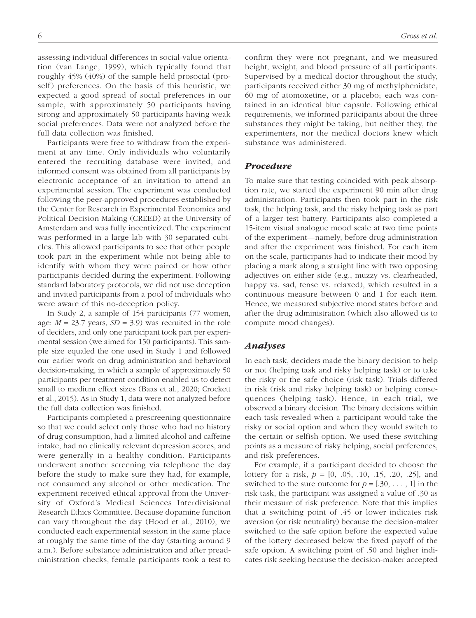assessing individual differences in social-value orientation (van Lange, 1999), which typically found that roughly 45% (40%) of the sample held prosocial (proself) preferences. On the basis of this heuristic, we expected a good spread of social preferences in our sample, with approximately 50 participants having strong and approximately 50 participants having weak social preferences. Data were not analyzed before the full data collection was finished.

Participants were free to withdraw from the experiment at any time. Only individuals who voluntarily entered the recruiting database were invited, and informed consent was obtained from all participants by electronic acceptance of an invitation to attend an experimental session. The experiment was conducted following the peer-approved procedures established by the Center for Research in Experimental Economics and Political Decision Making (CREED) at the University of Amsterdam and was fully incentivized. The experiment was performed in a large lab with 30 separated cubicles. This allowed participants to see that other people took part in the experiment while not being able to identify with whom they were paired or how other participants decided during the experiment. Following standard laboratory protocols, we did not use deception and invited participants from a pool of individuals who were aware of this no-deception policy.

In Study 2, a sample of 154 participants (77 women, age:  $M = 23.7$  years,  $SD = 3.9$ ) was recruited in the role of deciders, and only one participant took part per experimental session (we aimed for 150 participants). This sample size equaled the one used in Study 1 and followed our earlier work on drug administration and behavioral decision-making, in which a sample of approximately 50 participants per treatment condition enabled us to detect small to medium effect sizes (Baas et al., 2020; Crockett et al., 2015). As in Study 1, data were not analyzed before the full data collection was finished.

Participants completed a prescreening questionnaire so that we could select only those who had no history of drug consumption, had a limited alcohol and caffeine intake, had no clinically relevant depression scores, and were generally in a healthy condition. Participants underwent another screening via telephone the day before the study to make sure they had, for example, not consumed any alcohol or other medication. The experiment received ethical approval from the University of Oxford's Medical Sciences Interdivisional Research Ethics Committee. Because dopamine function can vary throughout the day (Hood et al., 2010), we conducted each experimental session in the same place at roughly the same time of the day (starting around 9 a.m.). Before substance administration and after preadministration checks, female participants took a test to confirm they were not pregnant, and we measured height, weight, and blood pressure of all participants. Supervised by a medical doctor throughout the study, participants received either 30 mg of methylphenidate, 60 mg of atomoxetine, or a placebo; each was contained in an identical blue capsule. Following ethical requirements, we informed participants about the three substances they might be taking, but neither they, the experimenters, nor the medical doctors knew which substance was administered.

### *Procedure*

To make sure that testing coincided with peak absorption rate, we started the experiment 90 min after drug administration. Participants then took part in the risk task, the helping task, and the risky helping task as part of a larger test battery. Participants also completed a 15-item visual analogue mood scale at two time points of the experiment—namely, before drug administration and after the experiment was finished. For each item on the scale, participants had to indicate their mood by placing a mark along a straight line with two opposing adjectives on either side (e.g., muzzy vs. clearheaded, happy vs. sad, tense vs. relaxed), which resulted in a continuous measure between 0 and 1 for each item. Hence, we measured subjective mood states before and after the drug administration (which also allowed us to compute mood changes).

#### *Analyses*

In each task, deciders made the binary decision to help or not (helping task and risky helping task) or to take the risky or the safe choice (risk task). Trials differed in risk (risk and risky helping task) or helping consequences (helping task). Hence, in each trial, we observed a binary decision. The binary decisions within each task revealed when a participant would take the risky or social option and when they would switch to the certain or selfish option. We used these switching points as a measure of risky helping, social preferences, and risk preferences.

For example, if a participant decided to choose the lottery for a risk, *p* = [0, .05, .10, .15, .20, .25], and switched to the sure outcome for  $p = [.30, \ldots, 1]$  in the risk task, the participant was assigned a value of .30 as their measure of risk preference. Note that this implies that a switching point of .45 or lower indicates risk aversion (or risk neutrality) because the decision-maker switched to the safe option before the expected value of the lottery decreased below the fixed payoff of the safe option. A switching point of .50 and higher indicates risk seeking because the decision-maker accepted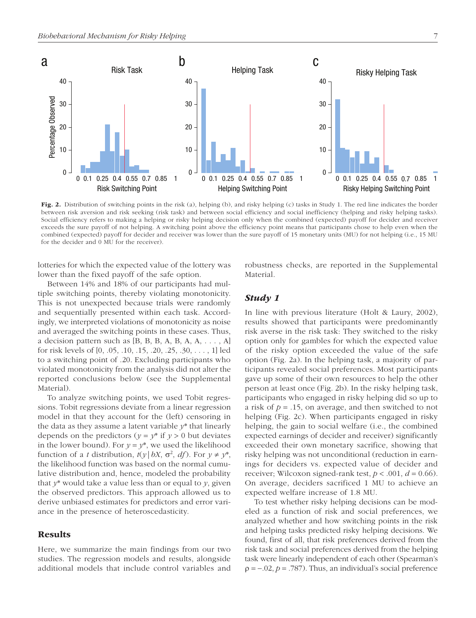

Fig. 2. Distribution of switching points in the risk (a), helping (b), and risky helping (c) tasks in Study 1. The red line indicates the border between risk aversion and risk seeking (risk task) and between social efficiency and social inefficiency (helping and risky helping tasks). Social efficiency refers to making a helping or risky helping decision only when the combined (expected) payoff for decider and receiver exceeds the sure payoff of not helping. A switching point above the efficiency point means that participants chose to help even when the combined (expected) payoff for decider and receiver was lower than the sure payoff of 15 monetary units (MU) for not helping (i.e., 15 MU for the decider and 0 MU for the receiver).

lotteries for which the expected value of the lottery was lower than the fixed payoff of the safe option.

Between 14% and 18% of our participants had multiple switching points, thereby violating monotonicity. This is not unexpected because trials were randomly and sequentially presented within each task. Accordingly, we interpreted violations of monotonicity as noise and averaged the switching points in these cases. Thus, a decision pattern such as  $[B, B, B, A, B, A, A, \ldots, A]$ for risk levels of [0, .05, .10, .15, .20, .25, .30, . . . , 1] led to a switching point of .20. Excluding participants who violated monotonicity from the analysis did not alter the reported conclusions below (see the Supplemental Material).

To analyze switching points, we used Tobit regressions. Tobit regressions deviate from a linear regression model in that they account for the (left) censoring in the data as they assume a latent variable *y*\* that linearly depends on the predictors ( $y = y^*$  if  $y > 0$  but deviates in the lower bound). For  $y = y^*$ , we used the likelihood function of a *t* distribution,  $t(y | bX, \sigma^2, df)$ . For  $y \neq y^*$ , the likelihood function was based on the normal cumulative distribution and, hence, modeled the probability that  $y^*$  would take a value less than or equal to  $y$ , given the observed predictors. This approach allowed us to derive unbiased estimates for predictors and error variance in the presence of heteroscedasticity.

## Results

Here, we summarize the main findings from our two studies. The regression models and results, alongside additional models that include control variables and

robustness checks, are reported in the Supplemental Material.

## *Study 1*

In line with previous literature (Holt & Laury, 2002), results showed that participants were predominantly risk averse in the risk task: They switched to the risky option only for gambles for which the expected value of the risky option exceeded the value of the safe option (Fig. 2a). In the helping task, a majority of participants revealed social preferences. Most participants gave up some of their own resources to help the other person at least once (Fig. 2b). In the risky helping task, participants who engaged in risky helping did so up to a risk of *p* = .15, on average, and then switched to not helping (Fig. 2c). When participants engaged in risky helping, the gain to social welfare (i.e., the combined expected earnings of decider and receiver) significantly exceeded their own monetary sacrifice, showing that risky helping was not unconditional (reduction in earnings for deciders vs. expected value of decider and receiver; Wilcoxon signed-rank test,  $p < .001$ ,  $d = 0.66$ ). On average, deciders sacrificed 1 MU to achieve an expected welfare increase of 1.8 MU.

To test whether risky helping decisions can be modeled as a function of risk and social preferences, we analyzed whether and how switching points in the risk and helping tasks predicted risky helping decisions. We found, first of all, that risk preferences derived from the risk task and social preferences derived from the helping task were linearly independent of each other (Spearman's  $\rho = -.02$ ,  $p = .787$ ). Thus, an individual's social preference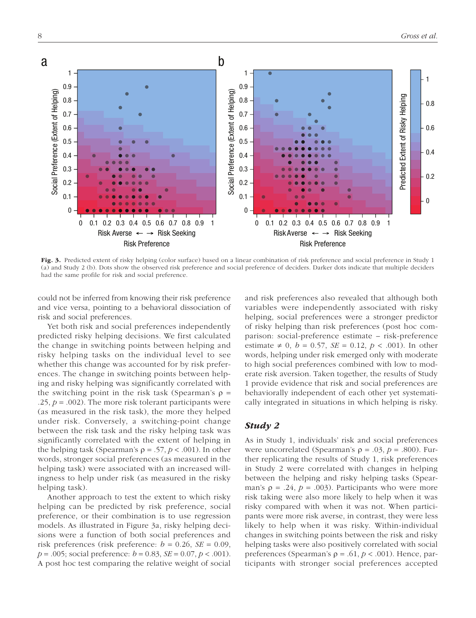

Fig. 3. Predicted extent of risky helping (color surface) based on a linear combination of risk preference and social preference in Study 1 (a) and Study 2 (b). Dots show the observed risk preference and social preference of deciders. Darker dots indicate that multiple deciders had the same profile for risk and social preference.

could not be inferred from knowing their risk preference and vice versa, pointing to a behavioral dissociation of risk and social preferences.

Yet both risk and social preferences independently predicted risky helping decisions. We first calculated the change in switching points between helping and risky helping tasks on the individual level to see whether this change was accounted for by risk preferences. The change in switching points between helping and risky helping was significantly correlated with the switching point in the risk task (Spearman's  $\rho =$ .25,  $p = .002$ ). The more risk tolerant participants were (as measured in the risk task), the more they helped under risk. Conversely, a switching-point change between the risk task and the risky helping task was significantly correlated with the extent of helping in the helping task (Spearman's  $\rho = .57$ ,  $p < .001$ ). In other words, stronger social preferences (as measured in the helping task) were associated with an increased willingness to help under risk (as measured in the risky helping task).

Another approach to test the extent to which risky helping can be predicted by risk preference, social preference, or their combination is to use regression models. As illustrated in Figure 3a, risky helping decisions were a function of both social preferences and risk preferences (risk preference:  $b = 0.26$ ,  $SE = 0.09$ ,  $p = .005$ ; social preference:  $b = 0.83$ ,  $SE = 0.07$ ,  $p < .001$ ). A post hoc test comparing the relative weight of social and risk preferences also revealed that although both variables were independently associated with risky helping, social preferences were a stronger predictor of risky helping than risk preferences (post hoc comparison: social-preference estimate – risk-preference estimate ≠ 0,  $b = 0.57$ ,  $SE = 0.12$ ,  $p < .001$ ). In other words, helping under risk emerged only with moderate to high social preferences combined with low to moderate risk aversion. Taken together, the results of Study 1 provide evidence that risk and social preferences are behaviorally independent of each other yet systematically integrated in situations in which helping is risky.

## *Study 2*

As in Study 1, individuals' risk and social preferences were uncorrelated (Spearman's  $\rho = .03$ ,  $p = .800$ ). Further replicating the results of Study 1, risk preferences in Study 2 were correlated with changes in helping between the helping and risky helping tasks (Spearman's  $\rho = .24$ ,  $p = .003$ ). Participants who were more risk taking were also more likely to help when it was risky compared with when it was not. When participants were more risk averse, in contrast, they were less likely to help when it was risky. Within-individual changes in switching points between the risk and risky helping tasks were also positively correlated with social preferences (Spearman's  $\rho = .61$ ,  $p < .001$ ). Hence, participants with stronger social preferences accepted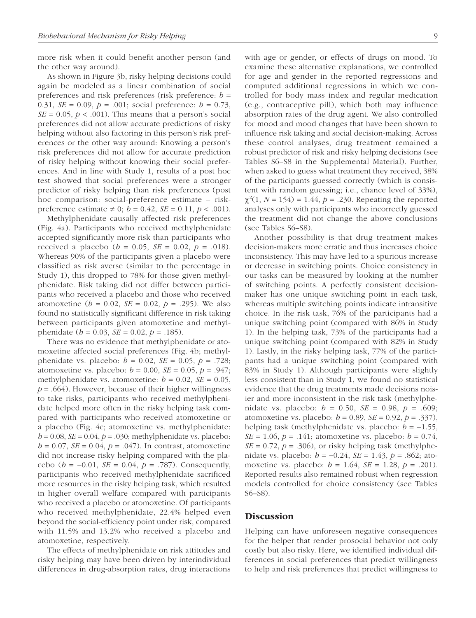more risk when it could benefit another person (and the other way around).

As shown in Figure 3b, risky helping decisions could again be modeled as a linear combination of social preferences and risk preferences (risk preference: *b* = 0.31, *SE* = 0.09,  $p = .001$ ; social preference:  $b = 0.73$ ,  $SE = 0.05$ ,  $p < .001$ ). This means that a person's social preferences did not allow accurate predictions of risky helping without also factoring in this person's risk preferences or the other way around: Knowing a person's risk preferences did not allow for accurate prediction of risky helping without knowing their social preferences. And in line with Study 1, results of a post hoc test showed that social preferences were a stronger predictor of risky helping than risk preferences (post hoc comparison: social-preference estimate – riskpreference estimate ≠ 0; *b* = 0.42, *SE* = 0.11, *p* < .001).

Methylphenidate causally affected risk preferences (Fig. 4a). Participants who received methylphenidate accepted significantly more risk than participants who received a placebo ( $b = 0.05$ ,  $SE = 0.02$ ,  $p = .018$ ). Whereas 90% of the participants given a placebo were classified as risk averse (similar to the percentage in Study 1), this dropped to 78% for those given methylphenidate. Risk taking did not differ between participants who received a placebo and those who received atomoxetine ( $b = 0.02$ ,  $SE = 0.02$ ,  $p = .295$ ). We also found no statistically significant difference in risk taking between participants given atomoxetine and methylphenidate ( $b = 0.03$ ,  $SE = 0.02$ ,  $p = .185$ ).

There was no evidence that methylphenidate or atomoxetine affected social preferences (Fig. 4b; methylphenidate vs. placebo:  $b = 0.02$ ,  $SE = 0.05$ ,  $p = .728$ ; atomoxetine vs. placebo:  $b = 0.00$ ,  $SE = 0.05$ ,  $p = .947$ ; methylphenidate vs. atomoxetine:  $b = 0.02$ ,  $SE = 0.05$ ,  $p = .664$ ). However, because of their higher willingness to take risks, participants who received methylphenidate helped more often in the risky helping task compared with participants who received atomoxetine or a placebo (Fig. 4c; atomoxetine vs. methylphenidate:  $b = 0.08$ ,  $SE = 0.04$ ,  $p = .030$ ; methylphenidate vs. placebo:  $b = 0.07$ , *SE* = 0.04,  $p = .047$ ). In contrast, atomoxetine did not increase risky helping compared with the placebo ( $b = -0.01$ ,  $SE = 0.04$ ,  $p = .787$ ). Consequently, participants who received methylphenidate sacrificed more resources in the risky helping task, which resulted in higher overall welfare compared with participants who received a placebo or atomoxetine. Of participants who received methylphenidate, 22.4% helped even beyond the social-efficiency point under risk, compared with 11.5% and 13.2% who received a placebo and atomoxetine, respectively.

The effects of methylphenidate on risk attitudes and risky helping may have been driven by interindividual differences in drug-absorption rates, drug interactions with age or gender, or effects of drugs on mood. To examine these alternative explanations, we controlled for age and gender in the reported regressions and computed additional regressions in which we controlled for body mass index and regular medication (e.g., contraceptive pill), which both may influence absorption rates of the drug agent. We also controlled for mood and mood changes that have been shown to influence risk taking and social decision-making. Across these control analyses, drug treatment remained a robust predictor of risk and risky helping decisions (see Tables S6–S8 in the Supplemental Material). Further, when asked to guess what treatment they received, 38% of the participants guessed correctly (which is consistent with random guessing; i.e., chance level of 33%),  $\chi^2(1, N = 154) = 1.44, p = .230$ . Repeating the reported analyses only with participants who incorrectly guessed the treatment did not change the above conclusions (see Tables S6–S8).

Another possibility is that drug treatment makes decision-makers more erratic and thus increases choice inconsistency. This may have led to a spurious increase or decrease in switching points. Choice consistency in our tasks can be measured by looking at the number of switching points. A perfectly consistent decisionmaker has one unique switching point in each task, whereas multiple switching points indicate intransitive choice. In the risk task, 76% of the participants had a unique switching point (compared with 86% in Study 1). In the helping task, 73% of the participants had a unique switching point (compared with 82% in Study 1). Lastly, in the risky helping task, 77% of the participants had a unique switching point (compared with 83% in Study 1). Although participants were slightly less consistent than in Study 1, we found no statistical evidence that the drug treatments made decisions noisier and more inconsistent in the risk task (methylphenidate vs. placebo: *b* = 0.50, *SE* = 0.98, *p* = .609; atomoxetine vs. placebo: *b* = 0.89, *SE* = 0.92, *p* = .337), helping task (methylphenidate vs. placebo:  $b = -1.55$ , *SE* = 1.06, *p* = .141; atomoxetine vs. placebo:  $b = 0.74$ ,  $SE = 0.72$ ,  $p = .306$ ), or risky helping task (methylphenidate vs. placebo: *b* = −0.24, *SE* = 1.43, *p* = .862; atomoxetine vs. placebo: *b* = 1.64, *SE* = 1.28, *p* = .201). Reported results also remained robust when regression models controlled for choice consistency (see Tables S6–S8).

#### **Discussion**

Helping can have unforeseen negative consequences for the helper that render prosocial behavior not only costly but also risky. Here, we identified individual differences in social preferences that predict willingness to help and risk preferences that predict willingness to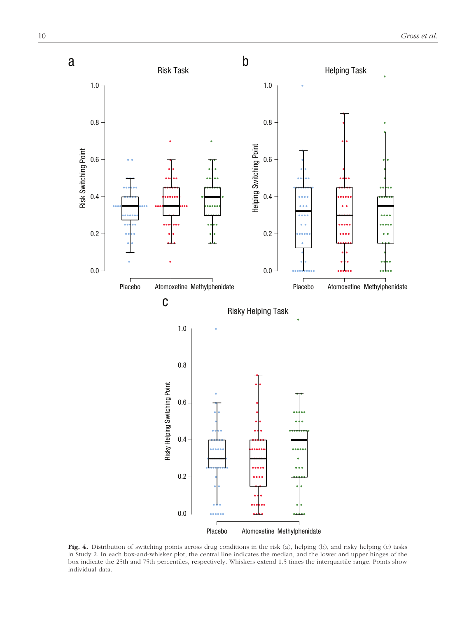

Fig. 4. Distribution of switching points across drug conditions in the risk (a), helping (b), and risky helping (c) tasks in Study 2. In each box-and-whisker plot, the central line indicates the median, and the lower and upper hinges of the box indicate the 25th and 75th percentiles, respectively. Whiskers extend 1.5 times the interquartile range. Points show individual data.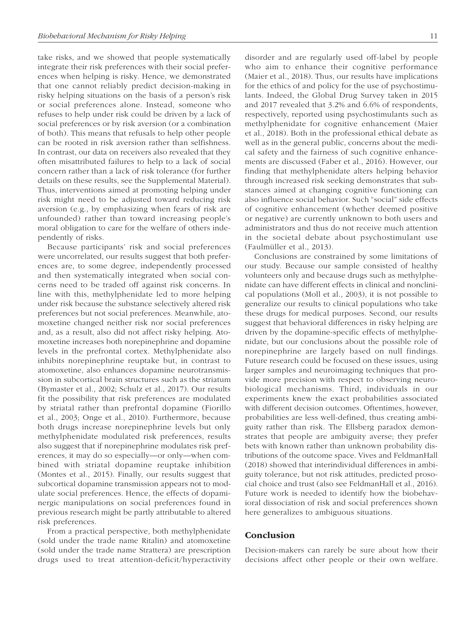take risks, and we showed that people systematically integrate their risk preferences with their social preferences when helping is risky. Hence, we demonstrated that one cannot reliably predict decision-making in risky helping situations on the basis of a person's risk or social preferences alone. Instead, someone who refuses to help under risk could be driven by a lack of social preferences or by risk aversion (or a combination of both). This means that refusals to help other people can be rooted in risk aversion rather than selfishness. In contrast, our data on receivers also revealed that they often misattributed failures to help to a lack of social concern rather than a lack of risk tolerance (for further details on these results, see the Supplemental Material). Thus, interventions aimed at promoting helping under risk might need to be adjusted toward reducing risk aversion (e.g., by emphasizing when fears of risk are unfounded) rather than toward increasing people's moral obligation to care for the welfare of others independently of risks.

Because participants' risk and social preferences were uncorrelated, our results suggest that both preferences are, to some degree, independently processed and then systematically integrated when social concerns need to be traded off against risk concerns. In line with this, methylphenidate led to more helping under risk because the substance selectively altered risk preferences but not social preferences. Meanwhile, atomoxetine changed neither risk nor social preferences and, as a result, also did not affect risky helping. Atomoxetine increases both norepinephrine and dopamine levels in the prefrontal cortex. Methylphenidate also inhibits norepinephrine reuptake but, in contrast to atomoxetine, also enhances dopamine neurotransmission in subcortical brain structures such as the striatum (Bymaster et al., 2002; Schulz et al., 2017). Our results fit the possibility that risk preferences are modulated by striatal rather than prefrontal dopamine (Fiorillo et al., 2003; Onge et al., 2010). Furthermore, because both drugs increase norepinephrine levels but only methylphenidate modulated risk preferences, results also suggest that if norepinephrine modulates risk preferences, it may do so especially—or only—when combined with striatal dopamine reuptake inhibition (Montes et al., 2015). Finally, our results suggest that subcortical dopamine transmission appears not to modulate social preferences. Hence, the effects of dopaminergic manipulations on social preferences found in previous research might be partly attributable to altered risk preferences.

From a practical perspective, both methylphenidate (sold under the trade name Ritalin) and atomoxetine (sold under the trade name Strattera) are prescription drugs used to treat attention-deficit/hyperactivity disorder and are regularly used off-label by people who aim to enhance their cognitive performance (Maier et al., 2018). Thus, our results have implications for the ethics of and policy for the use of psychostimulants. Indeed, the Global Drug Survey taken in 2015 and 2017 revealed that 3.2% and 6.6% of respondents, respectively, reported using psychostimulants such as methylphenidate for cognitive enhancement (Maier et al., 2018). Both in the professional ethical debate as well as in the general public, concerns about the medical safety and the fairness of such cognitive enhancements are discussed (Faber et al., 2016). However, our finding that methylphenidate alters helping behavior through increased risk seeking demonstrates that substances aimed at changing cognitive functioning can also influence social behavior. Such "social" side effects of cognitive enhancement (whether deemed positive or negative) are currently unknown to both users and administrators and thus do not receive much attention in the societal debate about psychostimulant use (Faulmüller et al., 2013).

Conclusions are constrained by some limitations of our study. Because our sample consisted of healthy volunteers only and because drugs such as methylphenidate can have different effects in clinical and nonclinical populations (Moll et al., 2003), it is not possible to generalize our results to clinical populations who take these drugs for medical purposes. Second, our results suggest that behavioral differences in risky helping are driven by the dopamine-specific effects of methylphenidate, but our conclusions about the possible role of norepinephrine are largely based on null findings. Future research could be focused on these issues, using larger samples and neuroimaging techniques that provide more precision with respect to observing neurobiological mechanisms. Third, individuals in our experiments knew the exact probabilities associated with different decision outcomes. Oftentimes, however, probabilities are less well-defined, thus creating ambiguity rather than risk. The Ellsberg paradox demonstrates that people are ambiguity averse; they prefer bets with known rather than unknown probability distributions of the outcome space. Vives and FeldmanHall (2018) showed that interindividual differences in ambiguity tolerance, but not risk attitudes, predicted prosocial choice and trust (also see FeldmanHall et al., 2016). Future work is needed to identify how the biobehavioral dissociation of risk and social preferences shown here generalizes to ambiguous situations.

#### Conclusion

Decision-makers can rarely be sure about how their decisions affect other people or their own welfare.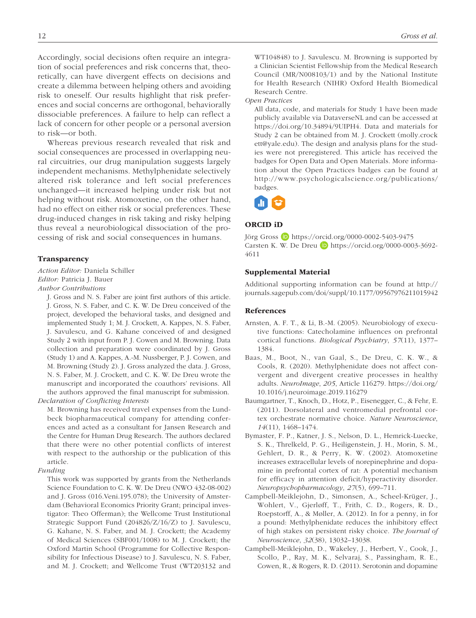Accordingly, social decisions often require an integration of social preferences and risk concerns that, theoretically, can have divergent effects on decisions and create a dilemma between helping others and avoiding risk to oneself. Our results highlight that risk preferences and social concerns are orthogonal, behaviorally dissociable preferences. A failure to help can reflect a lack of concern for other people or a personal aversion to risk—or both.

Whereas previous research revealed that risk and social consequences are processed in overlapping neural circuitries, our drug manipulation suggests largely independent mechanisms. Methylphenidate selectively altered risk tolerance and left social preferences unchanged—it increased helping under risk but not helping without risk. Atomoxetine, on the other hand, had no effect on either risk or social preferences. These drug-induced changes in risk taking and risky helping thus reveal a neurobiological dissociation of the processing of risk and social consequences in humans.

#### Transparency

## *Action Editor:* Daniela Schiller *Editor:* Patricia J. Bauer

## *Author Contributions*

J. Gross and N. S. Faber are joint first authors of this article. J. Gross, N. S. Faber, and C. K. W. De Dreu conceived of the project, developed the behavioral tasks, and designed and implemented Study 1; M. J. Crockett, A. Kappes, N. S. Faber, J. Savulescu, and G. Kahane conceived of and designed Study 2 with input from P. J. Cowen and M. Browning. Data collection and preparation were coordinated by J. Gross (Study 1) and A. Kappes, A.-M. Nussberger, P. J. Cowen, and M. Browning (Study 2). J. Gross analyzed the data. J. Gross, N. S. Faber, M. J. Crockett, and C. K. W. De Dreu wrote the manuscript and incorporated the coauthors' revisions. All the authors approved the final manuscript for submission. *Declaration of Conflicting Interests*

M. Browning has received travel expenses from the Lundbeck biopharmaceutical company for attending conferences and acted as a consultant for Jansen Research and the Centre for Human Drug Research. The authors declared that there were no other potential conflicts of interest with respect to the authorship or the publication of this article.

#### *Funding*

This work was supported by grants from the Netherlands Science Foundation to C. K. W. De Dreu (NWO 432-08-002) and J. Gross (016.Veni.195.078); the University of Amsterdam (Behavioral Economics Priority Grant; principal investigator: Theo Offerman); the Wellcome Trust Institutional Strategic Support Fund (204826/Z/16/Z) to J. Savulescu, G. Kahane, N. S. Faber, and M. J. Crockett; the Academy of Medical Sciences (SBF001/1008) to M. J. Crockett; the Oxford Martin School (Programme for Collective Responsibility for Infectious Disease) to J. Savulescu, N. S. Faber, and M. J. Crockett; and Wellcome Trust (WT203132 and

WT104848) to J. Savulescu. M. Browning is supported by a Clinician Scientist Fellowship from the Medical Research Council (MR/N008103/1) and by the National Institute for Health Research (NIHR) Oxford Health Biomedical Research Centre.

#### *Open Practices*

All data, code, and materials for Study 1 have been made publicly available via DataverseNL and can be accessed at [https://doi.org/10.34894/9UIPH4.](https://doi.org/10.34894/9UIPH4) Data and materials for Study 2 can be obtained from M. J. Crockett ([molly.crock](email:molly.crockett@yale.edu) [ett@yale.edu\)](email:molly.crockett@yale.edu). The design and analysis plans for the studies were not preregistered. This article has received the badges for Open Data and Open Materials. More information about the Open Practices badges can be found at [http://www.psychologicalscience.org/publications/](http://www.psychologicalscience.org/publications/badges) [badges.](http://www.psychologicalscience.org/publications/badges)

#### ORCID iD

Jörg Gross **b** <https://orcid.org/0000-0002-5403-9475> Carsten K. W. De Dreu D [https://orcid.org/0000-0003-3692-](https://orcid.org/0000-0003-3692-4611) [4611](https://orcid.org/0000-0003-3692-4611)

#### Supplemental Material

Additional supporting information can be found at [http://](http://journals.sagepub.com/doi/suppl/10.1177/09567976211015942) [journals.sagepub.com/doi/suppl/10.1177/09567976211015942](http://journals.sagepub.com/doi/suppl/10.1177/09567976211015942)

#### **References**

- Arnsten, A. F. T., & Li, B.-M. (2005). Neurobiology of executive functions: Catecholamine influences on prefrontal cortical functions. *Biological Psychiatry*, *57*(11), 1377– 1384.
- Baas, M., Boot, N., van Gaal, S., De Dreu, C. K. W., & Cools, R. (2020). Methylphenidate does not affect convergent and divergent creative processes in healthy adults. *NeuroImage*, *205*, Article 116279. [https://doi.org/](https://doi.org/10.1016/j.neuroimage.2019.116279) [10.1016/j.neuroimage.2019.116279](https://doi.org/10.1016/j.neuroimage.2019.116279)
- Baumgartner, T., Knoch, D., Hotz, P., Eisenegger, C., & Fehr, E. (2011). Dorsolateral and ventromedial prefrontal cortex orchestrate normative choice. *Nature Neuroscience*, *14*(11), 1468–1474.
- Bymaster, F. P., Katner, J. S., Nelson, D. L., Hemrick-Luecke, S. K., Threlkeld, P. G., Heiligenstein, J. H., Morin, S. M., Gehlert, D. R., & Perry, K. W. (2002). Atomoxetine increases extracellular levels of norepinephrine and dopamine in prefrontal cortex of rat: A potential mechanism for efficacy in attention deficit/hyperactivity disorder. *Neuropsychopharmacology*, *27*(5), 699–711.
- Campbell-Meiklejohn, D., Simonsen, A., Scheel-Krüger, J., Wohlert, V., Gjerløff, T., Frith, C. D., Rogers, R. D., Roepstorff, A., & Møller, A. (2012). In for a penny, in for a pound: Methylphenidate reduces the inhibitory effect of high stakes on persistent risky choice. *The Journal of Neuroscience*, *32*(38), 13032–13038.
- Campbell-Meiklejohn, D., Wakeley, J., Herbert, V., Cook, J., Scollo, P., Ray, M. K., Selvaraj, S., Passingham, R. E., Cowen, R., & Rogers, R. D. (2011). Serotonin and dopamine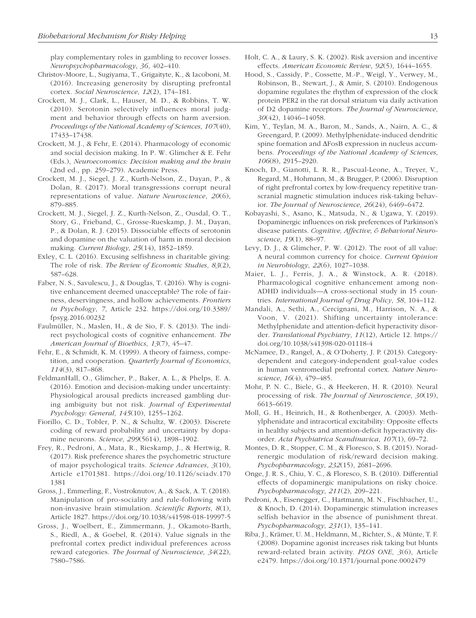play complementary roles in gambling to recover losses. *Neuropsychopharmacology*, *36*, 402–410.

- Christov-Moore, L., Sugiyama, T., Grigaityte, K., & Iacoboni, M. (2016). Increasing generosity by disrupting prefrontal cortex. *Social Neuroscience*, *12*(2), 174–181.
- Crockett, M. J., Clark, L., Hauser, M. D., & Robbins, T. W. (2010). Serotonin selectively influences moral judgment and behavior through effects on harm aversion. *Proceedings of the National Academy of Sciences*, *107*(40), 17433–17438.
- Crockett, M. J., & Fehr, E. (2014). Pharmacology of economic and social decision making. In P. W. Glimcher & E. Fehr (Eds.), *Neuroeconomics: Decision making and the brain* (2nd ed., pp. 259–279). Academic Press.
- Crockett, M. J., Siegel, J. Z., Kurth-Nelson, Z., Dayan, P., & Dolan, R. (2017). Moral transgressions corrupt neural representations of value. *Nature Neuroscience*, *20*(6), 879–885.
- Crockett, M. J., Siegel, J. Z., Kurth-Nelson, Z., Ousdal, O. T., Story, G., Frieband, C., Grosse-Rueskamp, J. M., Dayan, P., & Dolan, R. J. (2015). Dissociable effects of serotonin and dopamine on the valuation of harm in moral decision making. *Current Biology*, *25*(14), 1852–1859.
- Exley, C. L. (2016). Excusing selfishness in charitable giving: The role of risk. *The Review of Economic Studies*, *83*(2), 587–628.
- Faber, N. S., Savulescu, J., & Douglas, T. (2016). Why is cognitive enhancement deemed unacceptable? The role of fairness, deservingness, and hollow achievements. *Frontiers in Psychology*, *7*, Article 232. [https://doi.org/10.3389/](https://doi.org/10.3389/fpsyg.2016.00232) [fpsyg.2016.00232](https://doi.org/10.3389/fpsyg.2016.00232)
- Faulmüller, N., Maslen, H., & de Sio, F. S. (2013). The indirect psychological costs of cognitive enhancement. *The American Journal of Bioethics*, *13*(7), 45–47.
- Fehr, E., & Schmidt, K. M. (1999). A theory of fairness, competition, and cooperation. *Quarterly Journal of Economics*, *114*(3), 817–868.
- FeldmanHall, O., Glimcher, P., Baker, A. L., & Phelps, E. A. (2016). Emotion and decision-making under uncertainty: Physiological arousal predicts increased gambling during ambiguity but not risk. *Journal of Experimental Psychology: General*, *145*(10), 1255–1262.
- Fiorillo, C. D., Tobler, P. N., & Schultz, W. (2003). Discrete coding of reward probability and uncertainty by dopamine neurons. *Science*, *299*(5614), 1898–1902.
- Frey, R., Pedroni, A., Mata, R., Rieskamp, J., & Hertwig, R. (2017). Risk preference shares the psychometric structure of major psychological traits. *Science Advances*, *3*(10), Article e1701381. [https://doi.org/10.1126/sciadv.170](https://doi.org/10.1126/sciadv.1701381) [1381](https://doi.org/10.1126/sciadv.1701381)
- Gross, J., Emmerling, F., Vostroknutov, A., & Sack, A. T. (2018). Manipulation of pro-sociality and rule-following with non-invasive brain stimulation. *Scientific Reports*, *8*(1), Article 1827. <https://doi.org/10.1038/s41598-018-19997-5>
- Gross, J., Woelbert, E., Zimmermann, J., Okamoto-Barth, S., Riedl, A., & Goebel, R. (2014). Value signals in the prefrontal cortex predict individual preferences across reward categories. *The Journal of Neuroscience*, *34*(22), 7580–7586.
- Holt, C. A., & Laury, S. K. (2002). Risk aversion and incentive effects. *American Economic Review*, *92*(5), 1644–1655.
- Hood, S., Cassidy, P., Cossette, M.-P., Weigl, Y., Verwey, M., Robinson, B., Stewart, J., & Amir, S. (2010). Endogenous dopamine regulates the rhythm of expression of the clock protein PER2 in the rat dorsal striatum via daily activation of D2 dopamine receptors. *The Journal of Neuroscience*, *30*(42), 14046–14058.
- Kim, Y., Teylan, M. A., Baron, M., Sands, A., Nairn, A. C., & Greengard, P. (2009). Methylphenidate-induced dendritic spine formation and ΔFosB expression in nucleus accumbens. *Proceedings of the National Academy of Sciences*, *106*(8), 2915–2920.
- Knoch, D., Gianotti, L. R. R., Pascual-Leone, A., Treyer, V., Regard, M., Hohmann, M., & Brugger, P. (2006). Disruption of right prefrontal cortex by low-frequency repetitive transcranial magnetic stimulation induces risk-taking behavior. *The Journal of Neuroscience*, *26*(24), 6469–6472.
- Kobayashi, S., Asano, K., Matsuda, N., & Ugawa, Y. (2019). Dopaminergic influences on risk preferences of Parkinson's disease patients. *Cognitive, Affective, & Behavioral Neuroscience*, *19*(1), 88–97.
- Levy, D. J., & Glimcher, P. W. (2012). The root of all value: A neural common currency for choice. *Current Opinion in Neurobiology*, *22*(6), 1027–1038.
- Maier, L. J., Ferris, J. A., & Winstock, A. R. (2018). Pharmacological cognitive enhancement among non-ADHD individuals—A cross-sectional study in 15 countries. *International Journal of Drug Policy*, *58*, 104–112.
- Mandali, A., Sethi, A., Cercignani, M., Harrison, N. A., & Voon, V. (2021). Shifting uncertainty intolerance: Methylphenidate and attention-deficit hyperactivity disorder. *Translational Psychiatry*, *11*(12), Article 12. [https://](https://doi.org/10.1038/s41398-020-01118-4) [doi.org/10.1038/s41398-020-01118-4](https://doi.org/10.1038/s41398-020-01118-4)
- McNamee, D., Rangel, A., & O'Doherty, J. P. (2013). Categorydependent and category-independent goal-value codes in human ventromedial prefrontal cortex. *Nature Neuroscience*, *16*(4), 479–485.
- Mohr, P. N. C., Biele, G., & Heekeren, H. R. (2010). Neural processing of risk. *The Journal of Neuroscience*, *30*(19), 6613–6619.
- Moll, G. H., Heinrich, H., & Rothenberger, A. (2003). Methylphenidate and intracortical excitability: Opposite effects in healthy subjects and attention-deficit hyperactivity disorder. *Acta Psychiatrica Scandinavica*, *107*(1), 69–72.
- Montes, D. R., Stopper, C. M., & Floresco, S. B. (2015). Noradrenergic modulation of risk/reward decision making. *Psychopharmacology*, *232*(15), 2681–2696.
- Onge, J. R. S., Chiu, Y. C., & Floresco, S. B. (2010). Differential effects of dopaminergic manipulations on risky choice. *Psychopharmacology*, *211*(2), 209–221.
- Pedroni, A., Eisenegger, C., Hartmann, M. N., Fischbacher, U., & Knoch, D. (2014). Dopaminergic stimulation increases selfish behavior in the absence of punishment threat. *Psychopharmacology*, *231*(1), 135–141.
- Riba, J., Krämer, U. M., Heldmann, M., Richter, S., & Münte, T. F. (2008). Dopamine agonist increases risk taking but blunts reward-related brain activity. *PLOS ONE*, *3*(6), Article e2479.<https://doi.org/10.1371/journal.pone.0002479>